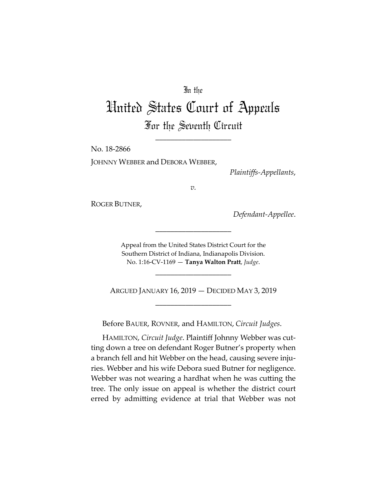# In the

# United States Court of Appeals For the Seventh Circuit

\_\_\_\_\_\_\_\_\_\_\_\_\_\_\_\_\_\_\_\_

No. 18‐2866

JOHNNY WEBBER and DEBORA WEBBER,

*Plaintiffs‐Appellants*,

*v.*

ROGER BUTNER,

*Defendant‐Appellee*.

Appeal from the United States District Court for the Southern District of Indiana, Indianapolis Division. No. 1:16‐CV‐1169 — **Tanya Walton Pratt**, *Judge*.

\_\_\_\_\_\_\_\_\_\_\_\_\_\_\_\_\_\_\_\_

ARGUED JANUARY 16, 2019 — DECIDED MAY 3, 2019 \_\_\_\_\_\_\_\_\_\_\_\_\_\_\_\_\_\_\_\_

\_\_\_\_\_\_\_\_\_\_\_\_\_\_\_\_\_\_\_\_

Before BAUER, ROVNER, and HAMILTON, *Circuit Judges*.

HAMILTON, *Circuit Judge*. Plaintiff Johnny Webber was cut‐ ting down a tree on defendant Roger Butner's property when a branch fell and hit Webber on the head, causing severe inju‐ ries. Webber and his wife Debora sued Butner for negligence. Webber was not wearing a hardhat when he was cutting the tree. The only issue on appeal is whether the district court erred by admitting evidence at trial that Webber was not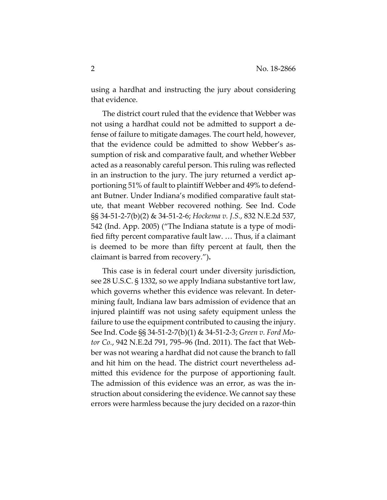using a hardhat and instructing the jury about considering that evidence.

The district court ruled that the evidence that Webber was not using a hardhat could not be admitted to support a de‐ fense of failure to mitigate damages. The court held, however, that the evidence could be admitted to show Webber's as‐ sumption of risk and comparative fault, and whether Webber acted as a reasonably careful person. This ruling was reflected in an instruction to the jury. The jury returned a verdict apportioning 51% of fault to plaintiff Webber and 49% to defend‐ ant Butner. Under Indiana's modified comparative fault stat‐ ute, that meant Webber recovered nothing. See Ind. Code §§ 34‐51‐2‐7(b)(2) & 34‐51‐2‐6; *Hockema v. J.S.*, 832 N.E.2d 537, 542 (Ind. App. 2005) ("The Indiana statute is a type of modi‐ fied fifty percent comparative fault law. … Thus, if a claimant is deemed to be more than fifty percent at fault, then the claimant is barred from recovery.")**.**

This case is in federal court under diversity jurisdiction, see 28 U.S.C. § 1332, so we apply Indiana substantive tort law, which governs whether this evidence was relevant. In determining fault, Indiana law bars admission of evidence that an injured plaintiff was not using safety equipment unless the failure to use the equipment contributed to causing the injury. See Ind. Code §§ 34‐51‐2‐7(b)(1) & 34‐51‐2‐3; *Green v. Ford Mo‐ tor Co.*, 942 N.E.2d 791, 795–96 (Ind. 2011). The fact that Web‐ ber was not wearing a hardhat did not cause the branch to fall and hit him on the head. The district court nevertheless ad‐ mitted this evidence for the purpose of apportioning fault. The admission of this evidence was an error, as was the in‐ struction about considering the evidence. We cannot say these errors were harmless because the jury decided on a razor‐thin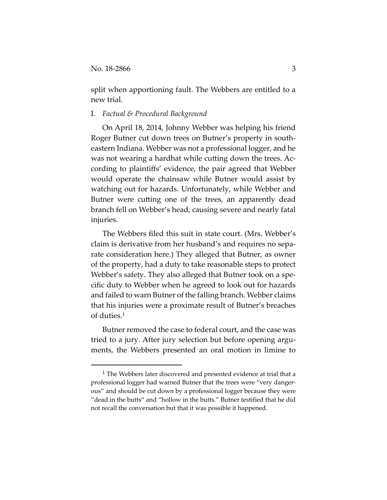split when apportioning fault. The Webbers are entitled to a new trial.

## I. *Factual & Procedural Background*

On April 18, 2014, Johnny Webber was helping his friend Roger Butner cut down trees on Butner's property in south‐ eastern Indiana. Webber was not a professional logger, and he was not wearing a hardhat while cutting down the trees. According to plaintiffs' evidence, the pair agreed that Webber would operate the chainsaw while Butner would assist by watching out for hazards. Unfortunately, while Webber and Butner were cutting one of the trees, an apparently dead branch fell on Webber's head, causing severe and nearly fatal injuries.

The Webbers filed this suit in state court. (Mrs. Webber's claim is derivative from her husband's and requires no sepa‐ rate consideration here.) They alleged that Butner, as owner of the property, had a duty to take reasonable steps to protect Webber's safety. They also alleged that Butner took on a specific duty to Webber when he agreed to look out for hazards and failed to warn Butner of the falling branch. Webber claims that his injuries were a proximate result of Butner's breaches of duties.1

Butner removed the case to federal court, and the case was tried to a jury. After jury selection but before opening arguments, the Webbers presented an oral motion in limine to

<sup>&</sup>lt;sup>1</sup> The Webbers later discovered and presented evidence at trial that a professional logger had warned Butner that the trees were "very dangerous" and should be cut down by a professional logger because they were "dead in the butts" and "hollow in the butts." Butner testified that he did not recall the conversation but that it was possible it happened.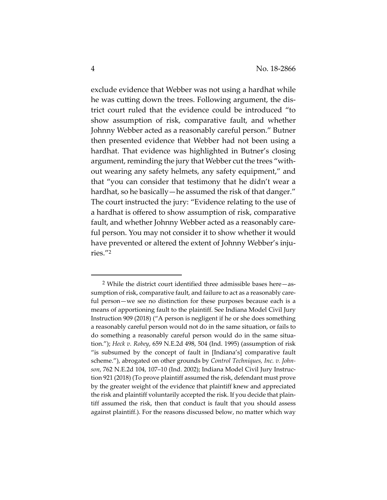exclude evidence that Webber was not using a hardhat while he was cutting down the trees. Following argument, the dis‐ trict court ruled that the evidence could be introduced "to show assumption of risk, comparative fault, and whether Johnny Webber acted as a reasonably careful person." Butner then presented evidence that Webber had not been using a hardhat. That evidence was highlighted in Butner's closing argument, reminding the jury that Webber cut the trees "without wearing any safety helmets, any safety equipment," and that "you can consider that testimony that he didn't wear a hardhat, so he basically—he assumed the risk of that danger." The court instructed the jury: "Evidence relating to the use of a hardhat is offered to show assumption of risk, comparative fault, and whether Johnny Webber acted as a reasonably care‐ ful person. You may not consider it to show whether it would have prevented or altered the extent of Johnny Webber's injuries."2

<sup>2</sup> While the district court identified three admissible bases here—as‐ sumption of risk, comparative fault, and failure to act as a reasonably care‐ ful person—we see no distinction for these purposes because each is a means of apportioning fault to the plaintiff. See Indiana Model Civil Jury Instruction 909 (2018) ("A person is negligent if he or she does something a reasonably careful person would not do in the same situation, or fails to do something a reasonably careful person would do in the same situa‐ tion."); *Heck v. Robey*, 659 N.E.2d 498, 504 (Ind. 1995) (assumption of risk "is subsumed by the concept of fault in [Indiana's] comparative fault scheme."), abrogated on other grounds by *Control Techniques, Inc. v. John‐ son*, 762 N.E.2d 104, 107–10 (Ind. 2002); Indiana Model Civil Jury Instruc‐ tion 921 (2018) (To prove plaintiff assumed the risk, defendant must prove by the greater weight of the evidence that plaintiff knew and appreciated the risk and plaintiff voluntarily accepted the risk. If you decide that plain‐ tiff assumed the risk, then that conduct is fault that you should assess against plaintiff.). For the reasons discussed below, no matter which way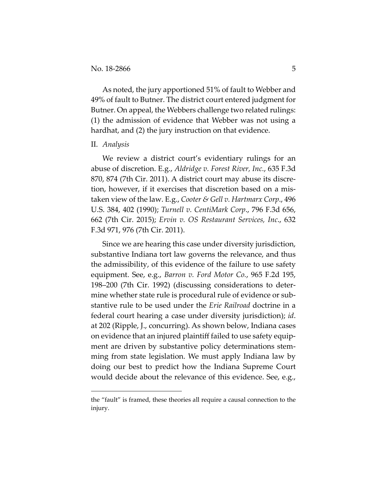As noted, the jury apportioned 51% of fault to Webber and 49% of fault to Butner. The district court entered judgment for Butner. On appeal, the Webbers challenge two related rulings: (1) the admission of evidence that Webber was not using a hardhat, and (2) the jury instruction on that evidence.

#### II. *Analysis*

We review a district court's evidentiary rulings for an abuse of discretion. E.g., *Aldridge v. Forest River, Inc.*, 635 F.3d 870, 874 (7th Cir. 2011). A district court may abuse its discre‐ tion, however, if it exercises that discretion based on a mis‐ taken view of the law. E.g., *Cooter & Gell v. Hartmarx Corp*., 496 U.S. 384, 402 (1990); *Turnell v. CentiMark Corp*., 796 F.3d 656, 662 (7th Cir. 2015); *Ervin v. OS Restaurant Services, Inc*., 632 F.3d 971, 976 (7th Cir. 2011).

Since we are hearing this case under diversity jurisdiction, substantive Indiana tort law governs the relevance, and thus the admissibility, of this evidence of the failure to use safety equipment. See, e.g., *Barron v. Ford Motor Co.*, 965 F.2d 195, 198–200 (7th Cir. 1992) (discussing considerations to deter‐ mine whether state rule is procedural rule of evidence or substantive rule to be used under the *Erie Railroad* doctrine in a federal court hearing a case under diversity jurisdiction); *id*. at 202 (Ripple, J., concurring). As shown below, Indiana cases on evidence that an injured plaintiff failed to use safety equip‐ ment are driven by substantive policy determinations stemming from state legislation. We must apply Indiana law by doing our best to predict how the Indiana Supreme Court would decide about the relevance of this evidence. See, e.g.,

the "fault" is framed, these theories all require a causal connection to the injury.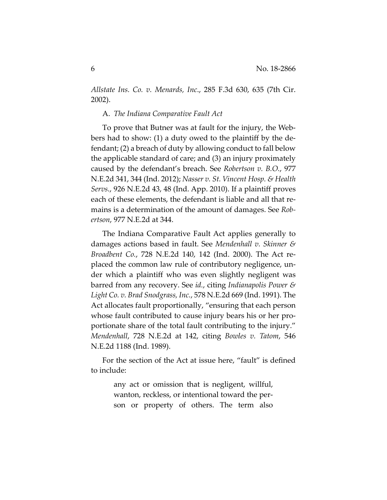*Allstate Ins. Co. v. Menards, Inc*., 285 F.3d 630, 635 (7th Cir. 2002).

#### A. *The Indiana Comparative Fault Act*

To prove that Butner was at fault for the injury, the Web‐ bers had to show: (1) a duty owed to the plaintiff by the de‐ fendant; (2) a breach of duty by allowing conduct to fall below the applicable standard of care; and (3) an injury proximately caused by the defendant's breach. See *Robertson v. B.O.*, 977 N.E.2d 341, 344 (Ind. 2012); *Nasser v. St. Vincent Hosp. & Health Servs.*, 926 N.E.2d 43, 48 (Ind. App. 2010). If a plaintiff proves each of these elements, the defendant is liable and all that re‐ mains is a determination of the amount of damages. See *Rob‐ ertson*, 977 N.E.2d at 344.

The Indiana Comparative Fault Act applies generally to damages actions based in fault. See *Mendenhall v. Skinner & Broadbent Co.*, 728 N.E.2d 140, 142 (Ind. 2000). The Act re‐ placed the common law rule of contributory negligence, un‐ der which a plaintiff who was even slightly negligent was barred from any recovery. See *id.*, citing *Indianapolis Power & Light Co. v. Brad Snodgrass, Inc.*, 578 N.E.2d 669 (Ind. 1991). The Act allocates fault proportionally, "ensuring that each person whose fault contributed to cause injury bears his or her proportionate share of the total fault contributing to the injury." *Mendenhall*, 728 N.E.2d at 142, citing *Bowles v. Tatom*, 546 N.E.2d 1188 (Ind. 1989).

For the section of the Act at issue here, "fault" is defined to include:

> any act or omission that is negligent, willful, wanton, reckless, or intentional toward the per‐ son or property of others. The term also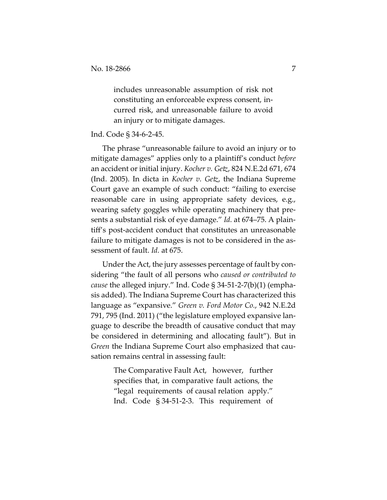includes unreasonable assumption of risk not constituting an enforceable express consent, in‐ curred risk, and unreasonable failure to avoid an injury or to mitigate damages.

#### Ind. Code § 34‐6‐2‐45.

The phrase "unreasonable failure to avoid an injury or to mitigate damages" applies only to a plaintiff's conduct *before* an accident or initial injury. *Kocher v. Getz*, 824 N.E.2d 671, 674 (Ind. 2005). In dicta in *Kocher v. Getz*, the Indiana Supreme Court gave an example of such conduct: "failing to exercise reasonable care in using appropriate safety devices, e.g., wearing safety goggles while operating machinery that pre‐ sents a substantial risk of eye damage." *Id.* at 674–75. A plain‐ tiff's post‐accident conduct that constitutes an unreasonable failure to mitigate damages is not to be considered in the assessment of fault. *Id.* at 675.

Under the Act, the jury assesses percentage of fault by considering "the fault of all persons who *caused or contributed to cause* the alleged injury." Ind. Code § 34‐51‐2‐7(b)(1) (empha‐ sis added). The Indiana Supreme Court has characterized this language as "expansive." *Green v. Ford Motor Co.*, 942 N.E.2d 791, 795 (Ind. 2011) ("the legislature employed expansive lan‐ guage to describe the breadth of causative conduct that may be considered in determining and allocating fault"). But in *Green* the Indiana Supreme Court also emphasized that cau‐ sation remains central in assessing fault:

> The Comparative Fault Act, however, further specifies that, in comparative fault actions, the "legal requirements of causal relation apply." Ind. Code § 34‐51‐2‐3. This requirement of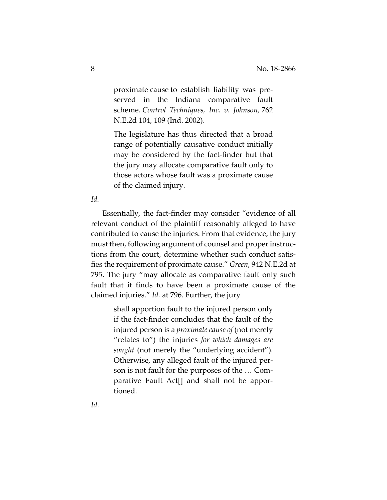proximate cause to establish liability was pre‐ served in the Indiana comparative fault scheme. *Control Techniques, Inc. v. Johnson,* 762 N.E.2d 104, 109 (Ind. 2002).

The legislature has thus directed that a broad range of potentially causative conduct initially may be considered by the fact‐finder but that the jury may allocate comparative fault only to those actors whose fault was a proximate cause of the claimed injury.

*Id.*

Essentially, the fact‐finder may consider "evidence of all relevant conduct of the plaintiff reasonably alleged to have contributed to cause the injuries. From that evidence, the jury must then, following argument of counsel and proper instructions from the court, determine whether such conduct satisfies the requirement of proximate cause." *Green*, 942 N.E.2d at 795. The jury "may allocate as comparative fault only such fault that it finds to have been a proximate cause of the claimed injuries." *Id.* at 796. Further, the jury

> shall apportion fault to the injured person only if the fact‐finder concludes that the fault of the injured person is a *proximate cause of* (not merely "relates to") the injuries *for which damages are sought* (not merely the "underlying accident"). Otherwise, any alleged fault of the injured per‐ son is not fault for the purposes of the … Com‐ parative Fault Act[] and shall not be appor‐ tioned.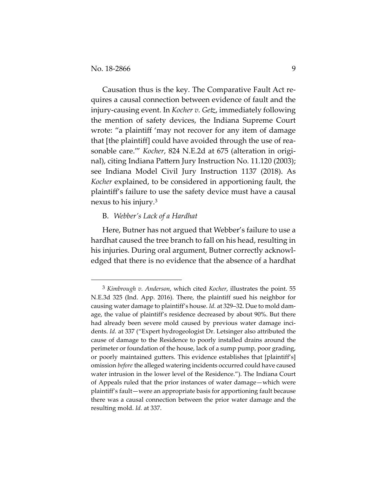Causation thus is the key. The Comparative Fault Act re‐ quires a causal connection between evidence of fault and the injury‐causing event. In *Kocher v. Getz*, immediately following the mention of safety devices, the Indiana Supreme Court wrote: "a plaintiff 'may not recover for any item of damage that [the plaintiff] could have avoided through the use of rea‐ sonable care.'" *Kocher*, 824 N.E.2d at 675 (alteration in origi‐ nal), citing Indiana Pattern Jury Instruction No. 11.120 (2003); see Indiana Model Civil Jury Instruction 1137 (2018). As *Kocher* explained, to be considered in apportioning fault, the plaintiff's failure to use the safety device must have a causal nexus to his injury.3

### B. *Webber's Lack of a Hardhat*

Here, Butner has not argued that Webber's failure to use a hardhat caused the tree branch to fall on his head, resulting in his injuries. During oral argument, Butner correctly acknowledged that there is no evidence that the absence of a hardhat

<sup>3</sup> *Kimbrough v. Anderson*, which cited *Kocher*, illustrates the point. 55 N.E.3d 325 (Ind. App. 2016). There, the plaintiff sued his neighbor for causing water damage to plaintiff's house. *Id.* at 329–32. Due to mold dam‐ age, the value of plaintiff's residence decreased by about 90%. But there had already been severe mold caused by previous water damage incidents. *Id.* at 337 ("Expert hydrogeologist Dr. Letsinger also attributed the cause of damage to the Residence to poorly installed drains around the perimeter or foundation of the house, lack of a sump pump, poor grading, or poorly maintained gutters. This evidence establishes that [plaintiff's] omission *before* the alleged watering incidents occurred could have caused water intrusion in the lower level of the Residence."). The Indiana Court of Appeals ruled that the prior instances of water damage—which were plaintiff's fault—were an appropriate basis for apportioning fault because there was a causal connection between the prior water damage and the resulting mold. *Id.* at 337.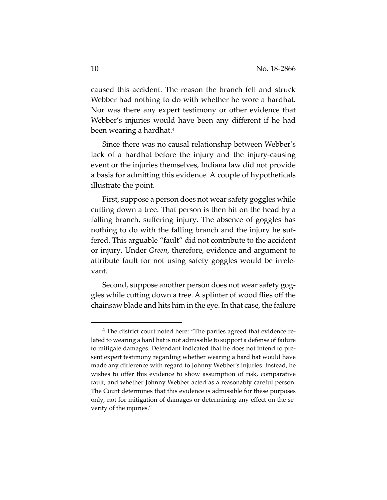caused this accident. The reason the branch fell and struck Webber had nothing to do with whether he wore a hardhat. Nor was there any expert testimony or other evidence that Webber's injuries would have been any different if he had been wearing a hardhat.4

Since there was no causal relationship between Webber's lack of a hardhat before the injury and the injury‐causing event or the injuries themselves, Indiana law did not provide a basis for admitting this evidence. A couple of hypotheticals illustrate the point.

First, suppose a person does not wear safety goggles while cutting down a tree. That person is then hit on the head by a falling branch, suffering injury. The absence of goggles has nothing to do with the falling branch and the injury he suf‐ fered. This arguable "fault" did not contribute to the accident or injury. Under *Green*, therefore, evidence and argument to attribute fault for not using safety goggles would be irrele‐ vant.

Second, suppose another person does not wear safety goggles while cutting down a tree. A splinter of wood flies off the chainsaw blade and hits him in the eye. In that case, the failure

<sup>&</sup>lt;sup>4</sup> The district court noted here: "The parties agreed that evidence related to wearing a hard hat is not admissible to support a defense of failure to mitigate damages. Defendant indicated that he does not intend to pre‐ sent expert testimony regarding whether wearing a hard hat would have made any difference with regard to Johnny Webberʹs injuries. Instead, he wishes to offer this evidence to show assumption of risk, comparative fault, and whether Johnny Webber acted as a reasonably careful person. The Court determines that this evidence is admissible for these purposes only, not for mitigation of damages or determining any effect on the se‐ verity of the injuries."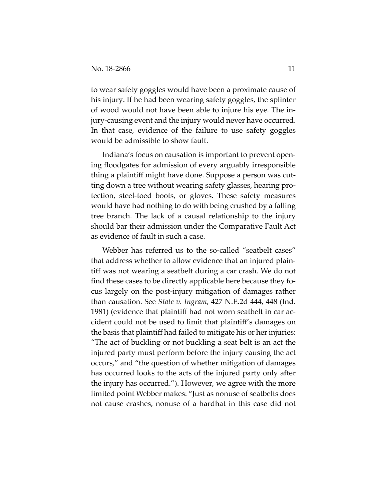to wear safety goggles would have been a proximate cause of his injury. If he had been wearing safety goggles, the splinter of wood would not have been able to injure his eye. The in‐ jury‐causing event and the injury would never have occurred. In that case, evidence of the failure to use safety goggles would be admissible to show fault.

Indiana's focus on causation is important to prevent open‐ ing floodgates for admission of every arguably irresponsible thing a plaintiff might have done. Suppose a person was cut‐ ting down a tree without wearing safety glasses, hearing pro‐ tection, steel‐toed boots, or gloves. These safety measures would have had nothing to do with being crushed by a falling tree branch. The lack of a causal relationship to the injury should bar their admission under the Comparative Fault Act as evidence of fault in such a case.

Webber has referred us to the so-called "seatbelt cases" that address whether to allow evidence that an injured plain‐ tiff was not wearing a seatbelt during a car crash. We do not find these cases to be directly applicable here because they focus largely on the post‐injury mitigation of damages rather than causation. See *State v. Ingram*, 427 N.E.2d 444, 448 (Ind. 1981) (evidence that plaintiff had not worn seatbelt in car accident could not be used to limit that plaintiff's damages on the basis that plaintiff had failed to mitigate his or her injuries: "The act of buckling or not buckling a seat belt is an act the injured party must perform before the injury causing the act occurs," and "the question of whether mitigation of damages has occurred looks to the acts of the injured party only after the injury has occurred."). However, we agree with the more limited point Webber makes: "Just as nonuse of seatbelts does not cause crashes, nonuse of a hardhat in this case did not